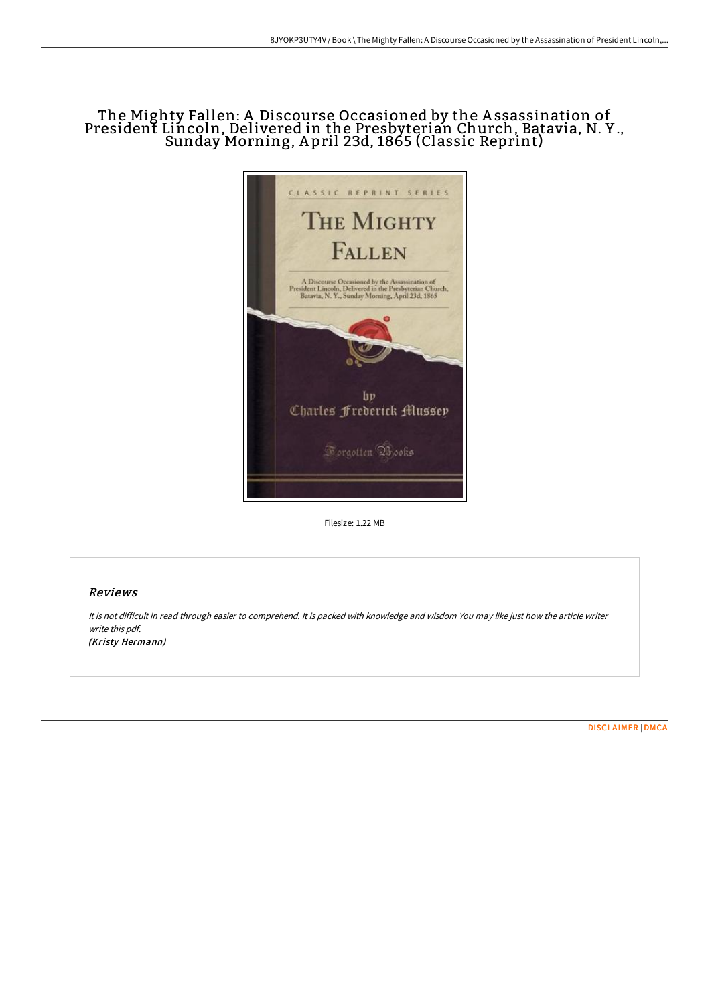## The Mighty Fallen: A Discourse Occasioned by the A ssassination of President Lincoln, Delivered in the Presbyterian Church, Batavia, N. Y ., Sunday Morning, A pril 23d, 1865 (Classic Reprint)



Filesize: 1.22 MB

## Reviews

It is not difficult in read through easier to comprehend. It is packed with knowledge and wisdom You may like just how the article writer write this pdf. (Kristy Hermann)

[DISCLAIMER](http://albedo.media/disclaimer.html) | [DMCA](http://albedo.media/dmca.html)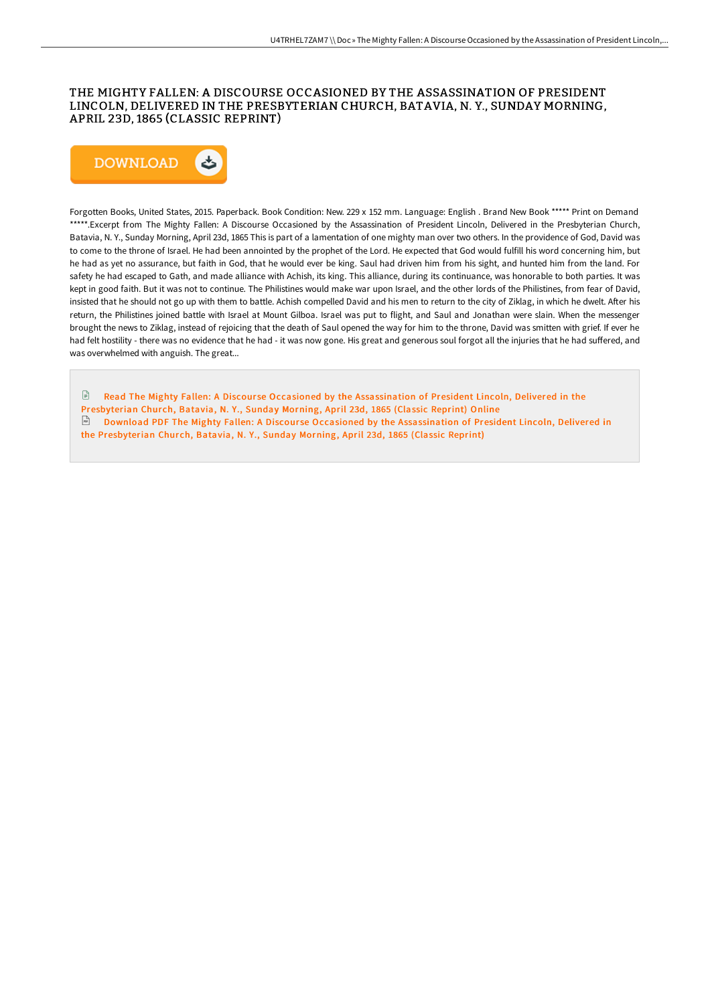## THE MIGHTY FALLEN: A DISCOURSE OCCASIONED BY THE ASSASSINATION OF PRESIDENT LINCOLN, DELIVERED IN THE PRESBYTERIAN CHURCH, BATAVIA, N. Y., SUNDAY MORNING, APRIL 23D, 1865 (CLASSIC REPRINT)



Forgotten Books, United States, 2015. Paperback. Book Condition: New. 229 x 152 mm. Language: English . Brand New Book \*\*\*\*\* Print on Demand \*\*\*\*\*.Excerpt from The Mighty Fallen: A Discourse Occasioned by the Assassination of President Lincoln, Delivered in the Presbyterian Church, Batavia, N. Y., Sunday Morning, April 23d, 1865 This is part of a lamentation of one mighty man over two others. In the providence of God, David was to come to the throne of Israel. He had been annointed by the prophet of the Lord. He expected that God would fulfill his word concerning him, but he had as yet no assurance, but faith in God, that he would ever be king. Saul had driven him from his sight, and hunted him from the land. For safety he had escaped to Gath, and made alliance with Achish, its king. This alliance, during its continuance, was honorable to both parties. It was kept in good faith. But it was not to continue. The Philistines would make war upon Israel, and the other lords of the Philistines, from fear of David, insisted that he should not go up with them to battle. Achish compelled David and his men to return to the city of Ziklag, in which he dwelt. AFer his return, the Philistines joined battle with Israel at Mount Gilboa. Israel was put to flight, and Saul and Jonathan were slain. When the messenger brought the news to Ziklag, instead of rejoicing that the death of Saul opened the way for him to the throne, David was smitten with grief. If ever he had felt hostility - there was no evidence that he had - it was now gone. His great and generous soul forgot all the injuries that he had suffered, and was overwhelmed with anguish. The great...

 $\mathbb{R}$ Read The Mighty Fallen: A Discourse Occasioned by the [Assassination](http://albedo.media/the-mighty-fallen-a-discourse-occasioned-by-the-.html) of President Lincoln, Delivered in the Presbyterian Church, Batavia, N. Y., Sunday Morning, April 23d, 1865 (Classic Reprint) Online Download PDF The Mighty Fallen: A Discourse Occasioned by the [Assassination](http://albedo.media/the-mighty-fallen-a-discourse-occasioned-by-the-.html) of President Lincoln, Delivered in the Presbyterian Church, Batavia, N. Y., Sunday Morning, April 23d, 1865 (Classic Reprint)